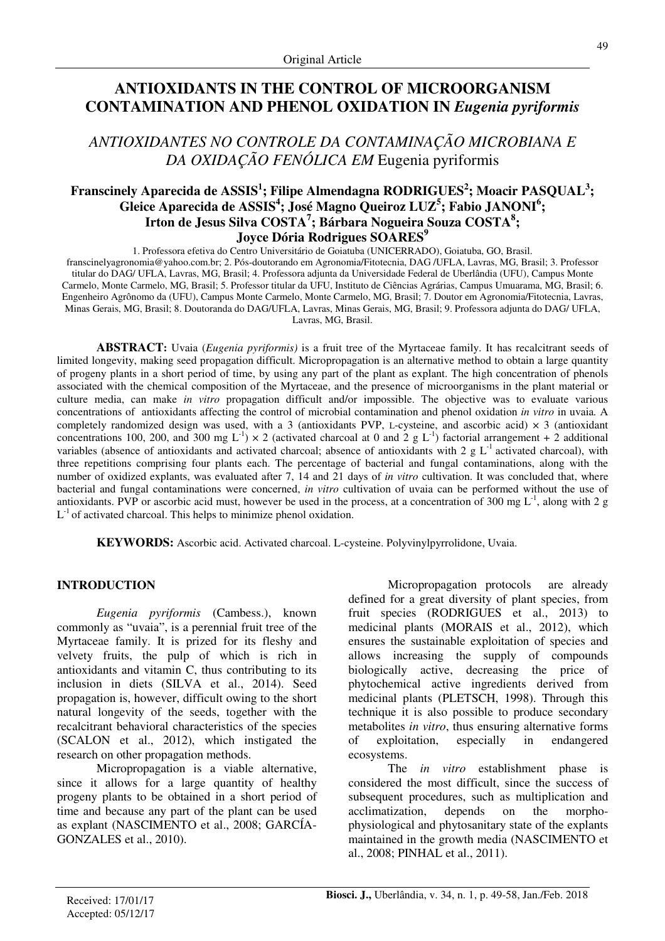# **ANTIOXIDANTS IN THE CONTROL OF MICROORGANISM CONTAMINATION AND PHENOL OXIDATION IN** *Eugenia pyriformis*

*ANTIOXIDANTES NO CONTROLE DA CONTAMINAÇÃO MICROBIANA E DA OXIDAÇÃO FENÓLICA EM* Eugenia pyriformis

## **Franscinely Aparecida de ASSIS<sup>1</sup> ; Filipe Almendagna RODRIGUES<sup>2</sup> ; Moacir PASQUAL<sup>3</sup> ; Gleice Aparecida de ASSIS<sup>4</sup> ; José Magno Queiroz LUZ<sup>5</sup> ; Fabio JANONI<sup>6</sup> ; Irton de Jesus Silva COSTA<sup>7</sup> ; Bárbara Nogueira Souza COSTA<sup>8</sup> ; Joyce Dória Rodrigues SOARES<sup>9</sup>**

1. Professora efetiva do Centro Universitário de Goiatuba (UNICERRADO), Goiatuba, GO, Brasil. franscinelyagronomia@yahoo.com.br; 2. Pós-doutorando em Agronomia/Fitotecnia, DAG /UFLA, Lavras, MG, Brasil; 3. Professor titular do DAG/ UFLA, Lavras, MG, Brasil; 4. Professora adjunta da Universidade Federal de Uberlândia (UFU), Campus Monte Carmelo, Monte Carmelo, MG, Brasil; 5. Professor titular da UFU, Instituto de Ciências Agrárias, Campus Umuarama, MG, Brasil; 6. Engenheiro Agrônomo da (UFU), Campus Monte Carmelo, Monte Carmelo, MG, Brasil; 7. Doutor em Agronomia/Fitotecnia, Lavras, Minas Gerais, MG, Brasil; 8. Doutoranda do DAG/UFLA, Lavras, Minas Gerais, MG, Brasil; 9. Professora adjunta do DAG/ UFLA,

Lavras, MG, Brasil.

**ABSTRACT:** Uvaia (*Eugenia pyriformis)* is a fruit tree of the Myrtaceae family. It has recalcitrant seeds of limited longevity, making seed propagation difficult. Micropropagation is an alternative method to obtain a large quantity of progeny plants in a short period of time, by using any part of the plant as explant. The high concentration of phenols associated with the chemical composition of the Myrtaceae, and the presence of microorganisms in the plant material or culture media, can make *in vitro* propagation difficult and/or impossible. The objective was to evaluate various concentrations of antioxidants affecting the control of microbial contamination and phenol oxidation *in vitro* in uvaia*.* A completely randomized design was used, with a 3 (antioxidants PVP, L-cysteine, and ascorbic acid)  $\times$  3 (antioxidant concentrations 100, 200, and 300 mg L<sup>-1</sup>)  $\times$  2 (activated charcoal at 0 and 2 g L<sup>-1</sup>) factorial arrangement + 2 additional variables (absence of antioxidants and activated charcoal; absence of antioxidants with 2 g  $L^{-1}$  activated charcoal), with three repetitions comprising four plants each. The percentage of bacterial and fungal contaminations, along with the number of oxidized explants, was evaluated after 7, 14 and 21 days of *in vitro* cultivation. It was concluded that, where bacterial and fungal contaminations were concerned, *in vitro* cultivation of uvaia can be performed without the use of antioxidants. PVP or ascorbic acid must, however be used in the process, at a concentration of 300 mg  $L^{-1}$ , along with 2 g  $L^{-1}$  of activated charcoal. This helps to minimize phenol oxidation.

**KEYWORDS:** Ascorbic acid. Activated charcoal. L-cysteine. Polyvinylpyrrolidone, Uvaia.

## **INTRODUCTION**

*Eugenia pyriformis* (Cambess.), known commonly as "uvaia", is a perennial fruit tree of the Myrtaceae family. It is prized for its fleshy and velvety fruits, the pulp of which is rich in antioxidants and vitamin C, thus contributing to its inclusion in diets (SILVA et al., 2014). Seed propagation is, however, difficult owing to the short natural longevity of the seeds, together with the recalcitrant behavioral characteristics of the species (SCALON et al., 2012), which instigated the research on other propagation methods.

Micropropagation is a viable alternative, since it allows for a large quantity of healthy progeny plants to be obtained in a short period of time and because any part of the plant can be used as explant (NASCIMENTO et al., 2008; GARCÍA-GONZALES et al., 2010).

Micropropagation protocols are already defined for a great diversity of plant species, from fruit species (RODRIGUES et al., 2013) to medicinal plants (MORAIS et al., 2012), which ensures the sustainable exploitation of species and allows increasing the supply of compounds biologically active, decreasing the price of phytochemical active ingredients derived from medicinal plants (PLETSCH, 1998). Through this technique it is also possible to produce secondary metabolites *in vitro*, thus ensuring alternative forms of exploitation, especially in endangered ecosystems.

The *in vitro* establishment phase is considered the most difficult, since the success of subsequent procedures, such as multiplication and acclimatization, depends on the morphophysiological and phytosanitary state of the explants maintained in the growth media (NASCIMENTO et al., 2008; PINHAL et al., 2011).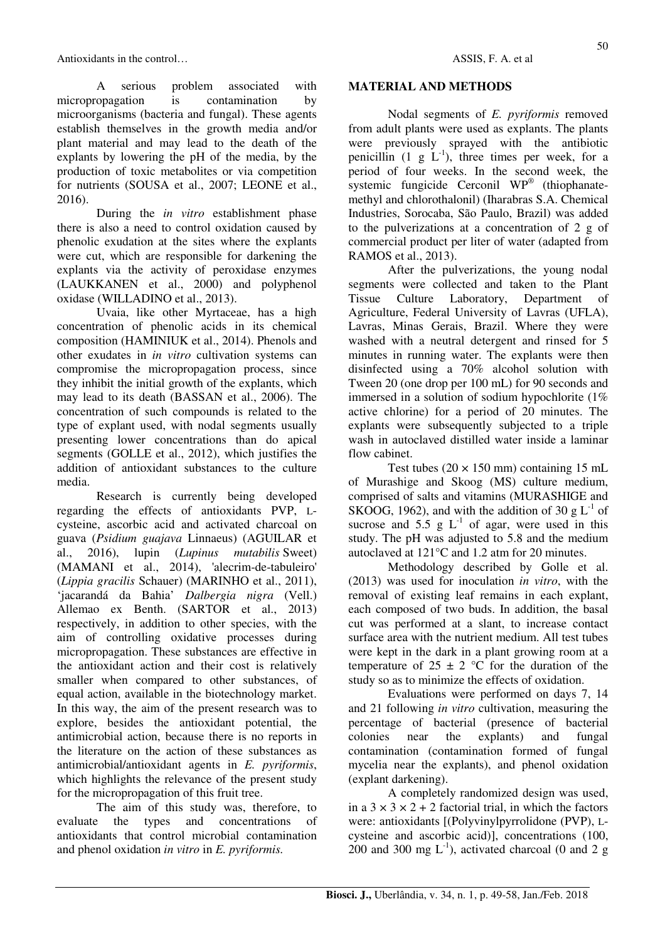A serious problem associated with micropropagation is contamination by microorganisms (bacteria and fungal). These agents establish themselves in the growth media and/or plant material and may lead to the death of the explants by lowering the pH of the media, by the production of toxic metabolites or via competition for nutrients (SOUSA et al., 2007; LEONE et al., 2016).

During the *in vitro* establishment phase there is also a need to control oxidation caused by phenolic exudation at the sites where the explants were cut, which are responsible for darkening the explants via the activity of peroxidase enzymes (LAUKKANEN et al., 2000) and polyphenol oxidase (WILLADINO et al., 2013).

Uvaia, like other Myrtaceae, has a high concentration of phenolic acids in its chemical composition (HAMINIUK et al., 2014). Phenols and other exudates in *in vitro* cultivation systems can compromise the micropropagation process, since they inhibit the initial growth of the explants, which may lead to its death (BASSAN et al., 2006). The concentration of such compounds is related to the type of explant used, with nodal segments usually presenting lower concentrations than do apical segments (GOLLE et al., 2012), which justifies the addition of antioxidant substances to the culture media.

Research is currently being developed regarding the effects of antioxidants PVP, Lcysteine, ascorbic acid and activated charcoal on guava (*Psidium guajava* Linnaeus) (AGUILAR et al., 2016), lupin (*Lupinus mutabilis* Sweet) (MAMANI et al., 2014), 'alecrim-de-tabuleiro' (*Lippia gracilis* Schauer) (MARINHO et al., 2011), 'jacarandá da Bahia' *Dalbergia nigra* (Vell.) Allemao ex Benth. (SARTOR et al., 2013) respectively, in addition to other species, with the aim of controlling oxidative processes during micropropagation. These substances are effective in the antioxidant action and their cost is relatively smaller when compared to other substances, of equal action, available in the biotechnology market. In this way, the aim of the present research was to explore, besides the antioxidant potential, the antimicrobial action, because there is no reports in the literature on the action of these substances as antimicrobial/antioxidant agents in *E. pyriformis*, which highlights the relevance of the present study for the micropropagation of this fruit tree.

The aim of this study was, therefore, to evaluate the types and concentrations of antioxidants that control microbial contamination and phenol oxidation *in vitro* in *E. pyriformis.*

## **MATERIAL AND METHODS**

Nodal segments of *E. pyriformis* removed from adult plants were used as explants. The plants were previously sprayed with the antibiotic penicillin  $(1 \t g L<sup>-1</sup>)$ , three times per week, for a period of four weeks. In the second week, the systemic fungicide Cerconil WP® (thiophanatemethyl and chlorothalonil) (Iharabras S.A. Chemical Industries, Sorocaba, São Paulo, Brazil) was added to the pulverizations at a concentration of 2 g of commercial product per liter of water (adapted from RAMOS et al., 2013).

After the pulverizations, the young nodal segments were collected and taken to the Plant Tissue Culture Laboratory, Department of Agriculture, Federal University of Lavras (UFLA), Lavras, Minas Gerais, Brazil. Where they were washed with a neutral detergent and rinsed for 5 minutes in running water. The explants were then disinfected using a 70% alcohol solution with Tween 20 (one drop per 100 mL) for 90 seconds and immersed in a solution of sodium hypochlorite (1% active chlorine) for a period of 20 minutes. The explants were subsequently subjected to a triple wash in autoclaved distilled water inside a laminar flow cabinet.

Test tubes  $(20 \times 150 \text{ mm})$  containing 15 mL of Murashige and Skoog (MS) culture medium, comprised of salts and vitamins (MURASHIGE and SKOOG, 1962), and with the addition of 30 g  $L^{-1}$  of sucrose and 5.5 g  $L^{-1}$  of agar, were used in this study. The pH was adjusted to 5.8 and the medium autoclaved at 121°C and 1.2 atm for 20 minutes.

Methodology described by Golle et al. (2013) was used for inoculation *in vitro*, with the removal of existing leaf remains in each explant, each composed of two buds. In addition, the basal cut was performed at a slant, to increase contact surface area with the nutrient medium. All test tubes were kept in the dark in a plant growing room at a temperature of  $25 \pm 2$  °C for the duration of the study so as to minimize the effects of oxidation.

Evaluations were performed on days 7, 14 and 21 following *in vitro* cultivation, measuring the percentage of bacterial (presence of bacterial colonies near the explants) and fungal contamination (contamination formed of fungal mycelia near the explants), and phenol oxidation (explant darkening).

A completely randomized design was used, in a  $3 \times 3 \times 2 + 2$  factorial trial, in which the factors were: antioxidants [(Polyvinylpyrrolidone (PVP), Lcysteine and ascorbic acid)], concentrations (100, 200 and 300 mg  $L^{-1}$ ), activated charcoal (0 and 2 g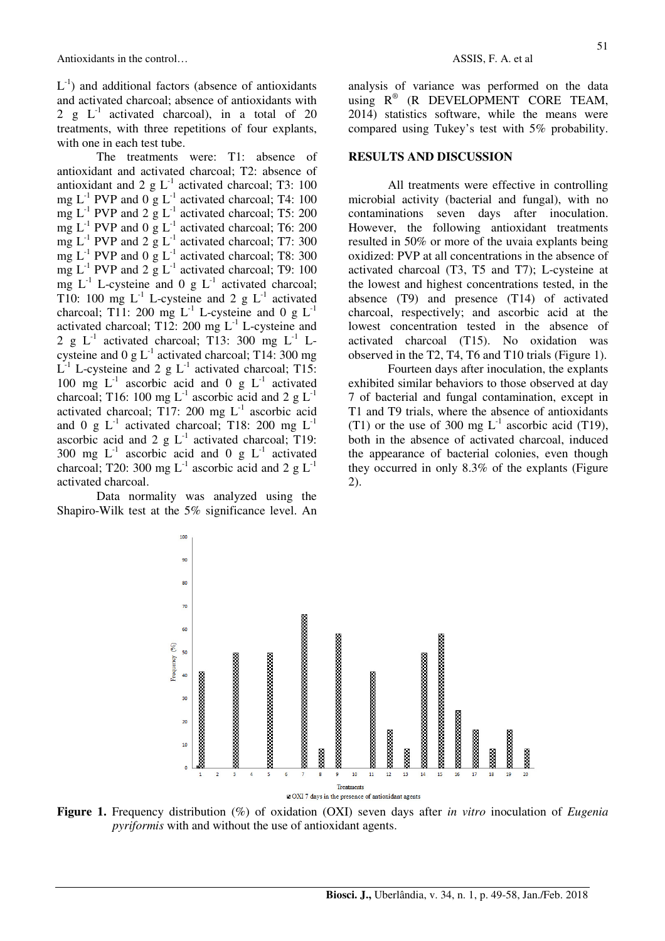$L^{-1}$ ) and additional factors (absence of antioxidants and activated charcoal; absence of antioxidants with 2 g  $L^{-1}$  activated charcoal), in a total of 20 treatments, with three repetitions of four explants, with one in each test tube.

The treatments were: T1: absence of antioxidant and activated charcoal; T2: absence of antioxidant and 2 g  $L^{-1}$  activated charcoal; T3: 100 mg  $L^{-1}$  PVP and  $0 \text{ g } L^{-1}$  activated charcoal; T4: 100 mg  $L^{-1}$  PVP and 2 g  $L^{-1}$  activated charcoal; T5: 200 mg  $L^{-1}$  PVP and 0 g  $L^{-1}$  activated charcoal; T6: 200 mg  $L^{-1}$  PVP and 2 g  $L^{-1}$  activated charcoal; T7: 300 mg  $L^{-1}$  PVP and 0 g  $L^{-1}$  activated charcoal; T8: 300 mg  $L^{-1}$  PVP and 2 g  $L^{-1}$  activated charcoal; T9: 100 mg  $L^{-1}$  L-cysteine and 0 g  $L^{-1}$  activated charcoal; T10: 100 mg  $L^{-1}$  L-cysteine and 2 g  $L^{-1}$  activated charcoal; T11: 200 mg  $L^{-1}$  L-cysteine and 0 g  $L^{-1}$ activated charcoal; T12: 200 mg  $L^{-1}$  L-cysteine and 2 g  $L^{-1}$  activated charcoal; T13: 300 mg  $L^{-1}$  Lcysteine and 0 g  $L^{-1}$  activated charcoal; T14: 300 mg  $L^{-1}$  L-cysteine and 2 g  $L^{-1}$  activated charcoal; T15: 100 mg  $L^{-1}$  ascorbic acid and 0 g  $L^{-1}$  activated charcoal; T16: 100 mg  $L^{-1}$  ascorbic acid and 2 g  $L^{-1}$ activated charcoal; T17: 200 mg  $L^{-1}$  ascorbic acid and 0 g  $L^{-1}$  activated charcoal; T18: 200 mg  $L^{-1}$ ascorbic acid and 2 g  $L^{-1}$  activated charcoal; T19: 300 mg  $L^{-1}$  ascorbic acid and 0 g  $L^{-1}$  activated charcoal; T20: 300 mg  $L^{-1}$  ascorbic acid and 2 g  $L^{-1}$ activated charcoal.

Data normality was analyzed using the Shapiro-Wilk test at the 5% significance level. An analysis of variance was performed on the data using  $R^{\circledast}$  (R DEVELOPMENT CORE TEAM, 2014) statistics software, while the means were compared using Tukey's test with 5% probability.

#### **RESULTS AND DISCUSSION**

All treatments were effective in controlling microbial activity (bacterial and fungal), with no contaminations seven days after inoculation. However, the following antioxidant treatments resulted in 50% or more of the uvaia explants being oxidized: PVP at all concentrations in the absence of activated charcoal (T3, T5 and T7); L-cysteine at the lowest and highest concentrations tested, in the absence (T9) and presence (T14) of activated charcoal, respectively; and ascorbic acid at the lowest concentration tested in the absence of activated charcoal (T15). No oxidation was observed in the T2, T4, T6 and T10 trials (Figure 1).

Fourteen days after inoculation, the explants exhibited similar behaviors to those observed at day 7 of bacterial and fungal contamination, except in T1 and T9 trials, where the absence of antioxidants (T1) or the use of 300 mg  $L^{-1}$  ascorbic acid (T19), both in the absence of activated charcoal, induced the appearance of bacterial colonies, even though they occurred in only 8.3% of the explants (Figure 2).



**Figure 1.** Frequency distribution (%) of oxidation (OXI) seven days after *in vitro* inoculation of *Eugenia pyriformis* with and without the use of antioxidant agents.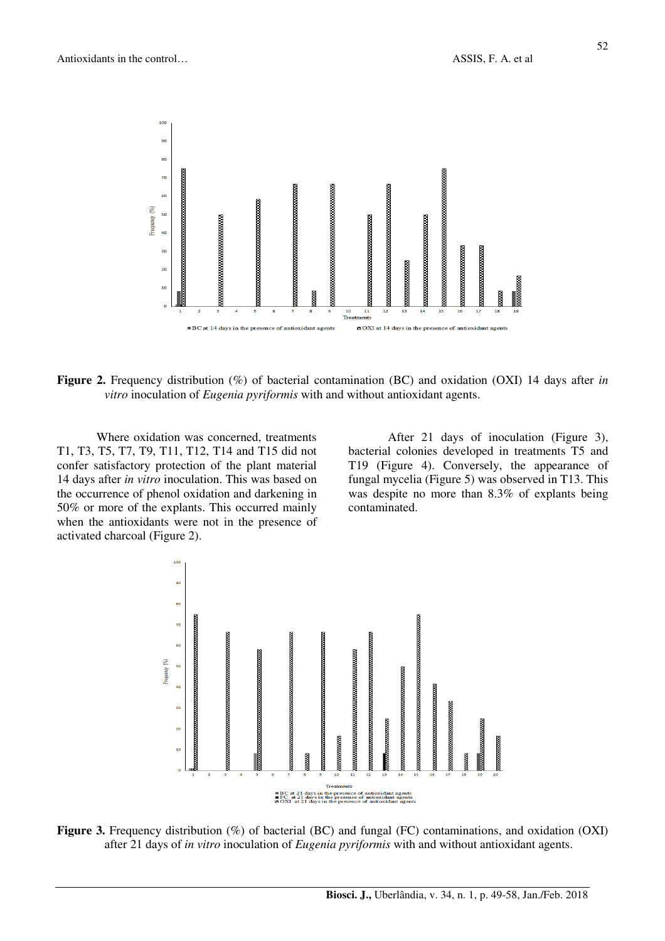

**Figure 2.** Frequency distribution (%) of bacterial contamination (BC) and oxidation (OXI) 14 days after *in vitro* inoculation of *Eugenia pyriformis* with and without antioxidant agents.

Where oxidation was concerned, treatments T1, T3, T5, T7, T9, T11, T12, T14 and T15 did not confer satisfactory protection of the plant material 14 days after *in vitro* inoculation. This was based on the occurrence of phenol oxidation and darkening in 50% or more of the explants. This occurred mainly when the antioxidants were not in the presence of activated charcoal (Figure 2).

After 21 days of inoculation (Figure 3), bacterial colonies developed in treatments T5 and T19 (Figure 4). Conversely, the appearance of fungal mycelia (Figure 5) was observed in T13. This was despite no more than 8.3% of explants being contaminated.



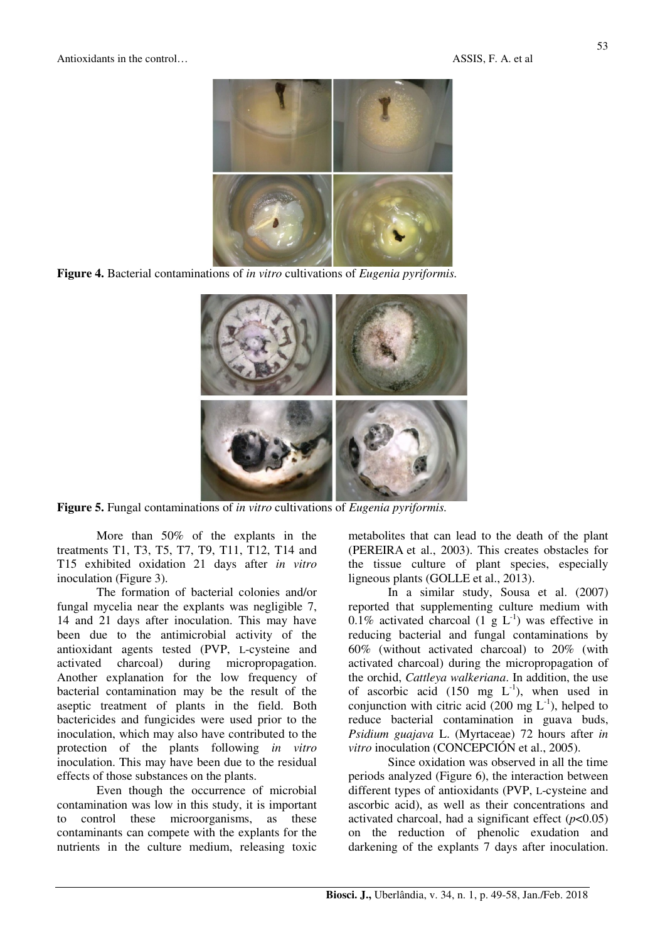

**Figure 4.** Bacterial contaminations of *in vitro* cultivations of *Eugenia pyriformis.*



**Figure 5.** Fungal contaminations of *in vitro* cultivations of *Eugenia pyriformis.* 

More than 50% of the explants in the treatments T1, T3, T5, T7, T9, T11, T12, T14 and T15 exhibited oxidation 21 days after *in vitro* inoculation (Figure 3).

The formation of bacterial colonies and/or fungal mycelia near the explants was negligible 7, 14 and 21 days after inoculation. This may have been due to the antimicrobial activity of the antioxidant agents tested (PVP, L-cysteine and activated charcoal) during micropropagation. Another explanation for the low frequency of bacterial contamination may be the result of the aseptic treatment of plants in the field. Both bactericides and fungicides were used prior to the inoculation, which may also have contributed to the protection of the plants following *in vitro* inoculation. This may have been due to the residual effects of those substances on the plants.

Even though the occurrence of microbial contamination was low in this study, it is important to control these microorganisms, as these contaminants can compete with the explants for the nutrients in the culture medium, releasing toxic metabolites that can lead to the death of the plant (PEREIRA et al., 2003). This creates obstacles for the tissue culture of plant species, especially ligneous plants (GOLLE et al., 2013).

In a similar study, Sousa et al. (2007) reported that supplementing culture medium with 0.1% activated charcoal  $(1 \times L^{-1})$  was effective in reducing bacterial and fungal contaminations by 60% (without activated charcoal) to 20% (with activated charcoal) during the micropropagation of the orchid, *Cattleya walkeriana*. In addition, the use of ascorbic acid (150 mg  $L^{-1}$ ), when used in conjunction with citric acid (200 mg  $L^{-1}$ ), helped to reduce bacterial contamination in guava buds, *Psidium guajava* L. (Myrtaceae) 72 hours after *in vitro* inoculation (CONCEPCIÓN et al., 2005).

Since oxidation was observed in all the time periods analyzed (Figure 6), the interaction between different types of antioxidants (PVP, L-cysteine and ascorbic acid), as well as their concentrations and activated charcoal, had a significant effect  $(p<0.05)$ on the reduction of phenolic exudation and darkening of the explants 7 days after inoculation.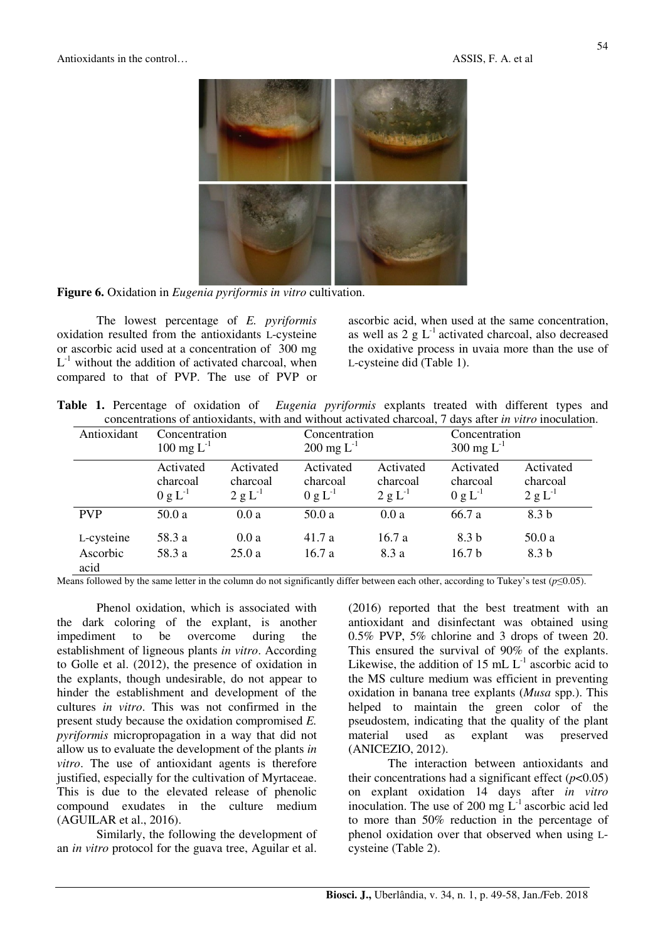

**Figure 6.** Oxidation in *Eugenia pyriformis in vitro* cultivation.

The lowest percentage of *E. pyriformis* oxidation resulted from the antioxidants L-cysteine or ascorbic acid used at a concentration of 300 mg  $L^{-1}$  without the addition of activated charcoal, when compared to that of PVP. The use of PVP or

ascorbic acid, when used at the same concentration, as well as  $2 \text{ g L}^{-1}$  activated charcoal, also decreased the oxidative process in uvaia more than the use of L-cysteine did (Table 1).

**Table 1.** Percentage of oxidation of *Eugenia pyriformis* explants treated with different types and concentrations of antioxidants, with and without activated charcoal, 7 days after *in vitro* inoculation.

| Antioxidant      | Concentration<br>$100 \text{ mg } L^{-1}$ |                                       | Concentration<br>$200 \text{ mg } L^{-1}$ |                                       | Concentration<br>$300 \text{ mg } L^{-1}$ |                                       |
|------------------|-------------------------------------------|---------------------------------------|-------------------------------------------|---------------------------------------|-------------------------------------------|---------------------------------------|
|                  | Activated<br>charcoal<br>$0 g L^{-1}$     | Activated<br>charcoal<br>$2 g L^{-1}$ | Activated<br>charcoal<br>$0 g L^{-1}$     | Activated<br>charcoal<br>$2 g L^{-1}$ | Activated<br>charcoal<br>$0 g L^{-1}$     | Activated<br>charcoal<br>$2 g L^{-1}$ |
| <b>PVP</b>       | 50.0a                                     | 0.0a                                  | 50.0 a                                    | 0.0a                                  | 66.7 a                                    | 8.3 b                                 |
| L-cysteine       | 58.3 a                                    | 0.0a                                  | 41.7 a                                    | 16.7a                                 | 8.3 b                                     | 50.0 a                                |
| Ascorbic<br>acid | 58.3 a                                    | 25.0a                                 | 16.7a                                     | 8.3 a                                 | 16.7 <sub>b</sub>                         | 8.3 b                                 |

Means followed by the same letter in the column do not significantly differ between each other, according to Tukey's test  $(p \le 0.05)$ .

Phenol oxidation, which is associated with the dark coloring of the explant, is another impediment to be overcome during the establishment of ligneous plants *in vitro*. According to Golle et al. (2012), the presence of oxidation in the explants, though undesirable, do not appear to hinder the establishment and development of the cultures *in vitro*. This was not confirmed in the present study because the oxidation compromised *E. pyriformis* micropropagation in a way that did not allow us to evaluate the development of the plants *in vitro*. The use of antioxidant agents is therefore justified, especially for the cultivation of Myrtaceae. This is due to the elevated release of phenolic compound exudates in the culture medium (AGUILAR et al., 2016).

Similarly, the following the development of an *in vitro* protocol for the guava tree, Aguilar et al. (2016) reported that the best treatment with an antioxidant and disinfectant was obtained using 0.5% PVP, 5% chlorine and 3 drops of tween 20. This ensured the survival of 90% of the explants. Likewise, the addition of 15 mL  $L^{-1}$  ascorbic acid to the MS culture medium was efficient in preventing oxidation in banana tree explants (*Musa* spp.). This helped to maintain the green color of the pseudostem, indicating that the quality of the plant material used as explant was preserved (ANICEZIO, 2012).

The interaction between antioxidants and their concentrations had a significant effect  $(p<0.05)$ on explant oxidation 14 days after *in vitro* inoculation. The use of 200 mg  $L^{-1}$  ascorbic acid led to more than 50% reduction in the percentage of phenol oxidation over that observed when using Lcysteine (Table 2).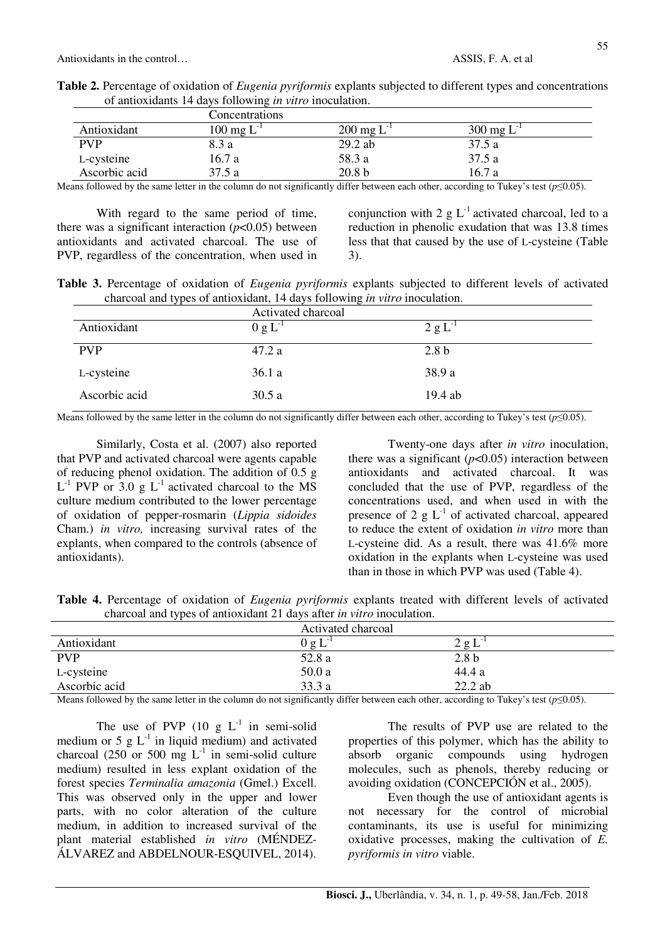|               | Concentrations           |                         |                          |  |  |
|---------------|--------------------------|-------------------------|--------------------------|--|--|
| Antioxidant   | $100 \text{ mg } L^{-1}$ | $200 \text{ mg L}^{-1}$ | $300 \text{ mg } L^{-1}$ |  |  |
| <b>PVP</b>    | 8.3 a                    | $29.2$ ab               | 37.5 a                   |  |  |
| L-cysteine    | 16.7 a                   | 58.3 a                  | 37.5 a                   |  |  |
| Ascorbic acid | 37.5 a                   | 20.8 <sub>b</sub>       | 16.7 a                   |  |  |

**Table 2.** Percentage of oxidation of *Eugenia pyriformis* explants subjected to different types and concentrations of antioxidants 14 days following *in vitro* inoculation.

Means followed by the same letter in the column do not significantly differ between each other, according to Tukey's test (*p*≤0.05).

With regard to the same period of time, there was a significant interaction  $(p<0.05)$  between antioxidants and activated charcoal. The use of PVP, regardless of the concentration, when used in conjunction with 2 g  $L^{-1}$  activated charcoal, led to a reduction in phenolic exudation that was 13.8 times less that that caused by the use of L-cysteine (Table 3).

**Table 3.** Percentage of oxidation of *Eugenia pyriformis* explants subjected to different levels of activated charcoal and types of antioxidant, 14 days following *in vitro* inoculation.

|               | Activated charcoal |                  |
|---------------|--------------------|------------------|
| Antioxidant   | $0 g L^{-1}$       | $2 g L^{-1}$     |
| <b>PVP</b>    | 47.2 a             | 2.8 <sub>b</sub> |
| L-cysteine    | 36.1a              | 38.9 a           |
| Ascorbic acid | 30.5a              | 19.4 ab          |

Means followed by the same letter in the column do not significantly differ between each other, according to Tukey's test (*p*≤0.05).

Similarly, Costa et al. (2007) also reported that PVP and activated charcoal were agents capable of reducing phenol oxidation. The addition of 0.5 g  $L^{-1}$  PVP or 3.0 g  $L^{-1}$  activated charcoal to the MS culture medium contributed to the lower percentage of oxidation of pepper-rosmarin (*Lippia sidoides* Cham.) *in vitro,* increasing survival rates of the explants, when compared to the controls (absence of antioxidants).

Twenty-one days after *in vitro* inoculation, there was a significant  $(p<0.05)$  interaction between antioxidants and activated charcoal. It was concluded that the use of PVP, regardless of the concentrations used, and when used in with the presence of 2 g  $L^{-1}$  of activated charcoal, appeared to reduce the extent of oxidation *in vitro* more than L-cysteine did. As a result, there was 41.6% more oxidation in the explants when L-cysteine was used than in those in which PVP was used (Table 4).

**Table 4.** Percentage of oxidation of *Eugenia pyriformis* explants treated with different levels of activated charcoal and types of antioxidant 21 days after *in vitro* inoculation.

|               | Activated charcoal |                  |  |
|---------------|--------------------|------------------|--|
| Antioxidant   | 0 g L              | 2gL              |  |
| <b>PVP</b>    | 52.8 a             | 2.8 <sub>b</sub> |  |
| L-cysteine    | 50.0a              | 44.4 a           |  |
| Ascorbic acid | 33.3a              | $22.2$ ab        |  |

Means followed by the same letter in the column do not significantly differ between each other, according to Tukey's test (*p*≤0.05).

The use of PVP  $(10 \text{ g L}^{-1})$  in semi-solid medium or 5 g  $L^{-1}$  in liquid medium) and activated charcoal (250 or 500 mg  $L^{-1}$  in semi-solid culture medium) resulted in less explant oxidation of the forest species *Terminalia amazonia* (Gmel.) Excell. This was observed only in the upper and lower parts, with no color alteration of the culture medium, in addition to increased survival of the plant material established *in vitro* (MÉNDEZ-ÁLVAREZ and ABDELNOUR-ESQUIVEL, 2014).

The results of PVP use are related to the properties of this polymer, which has the ability to absorb organic compounds using hydrogen molecules, such as phenols, thereby reducing or avoiding oxidation (CONCEPCIÓN et al., 2005).

Even though the use of antioxidant agents is not necessary for the control of microbial contaminants, its use is useful for minimizing oxidative processes, making the cultivation of *E. pyriformis in vitro* viable.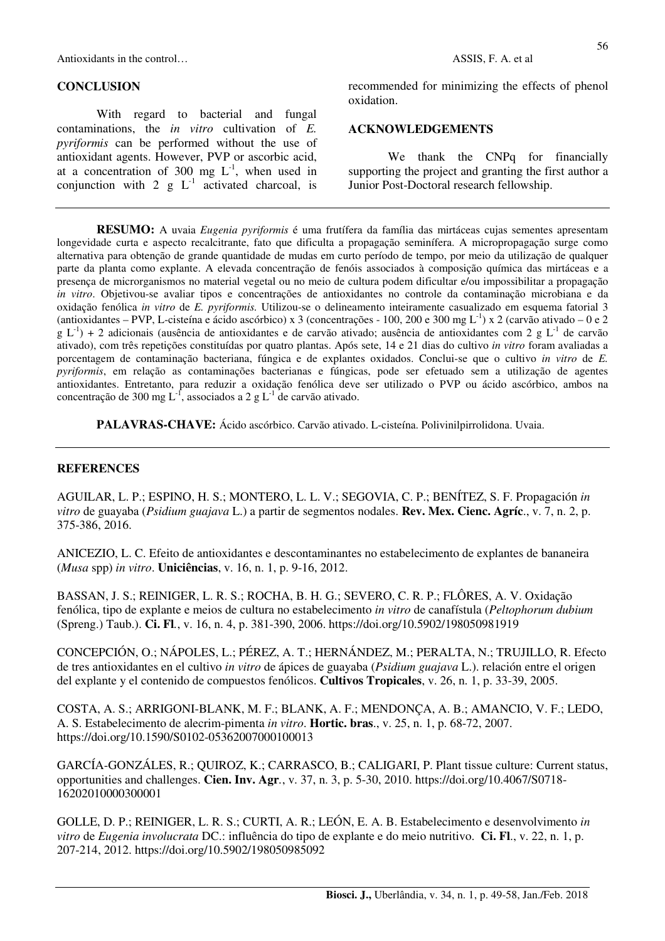Antioxidants in the control… ASSIS, F. A. et al.

#### **CONCLUSION**

With regard to bacterial and fungal contaminations, the *in vitro* cultivation of *E. pyriformis* can be performed without the use of antioxidant agents. However, PVP or ascorbic acid, at a concentration of  $300 \text{ mg } L^{-1}$ , when used in conjunction with 2 g  $L^{-1}$  activated charcoal, is

recommended for minimizing the effects of phenol oxidation.

## **ACKNOWLEDGEMENTS**

We thank the CNPq for financially supporting the project and granting the first author a Junior Post-Doctoral research fellowship.

**RESUMO:** A uvaia *Eugenia pyriformis* é uma frutífera da família das mirtáceas cujas sementes apresentam longevidade curta e aspecto recalcitrante, fato que dificulta a propagação seminífera. A micropropagação surge como alternativa para obtenção de grande quantidade de mudas em curto período de tempo, por meio da utilização de qualquer parte da planta como explante. A elevada concentração de fenóis associados à composição química das mirtáceas e a presença de microrganismos no material vegetal ou no meio de cultura podem dificultar e/ou impossibilitar a propagação *in vitro*. Objetivou-se avaliar tipos e concentrações de antioxidantes no controle da contaminação microbiana e da oxidação fenólica *in vitro* de *E. pyriformis.* Utilizou-se o delineamento inteiramente casualizado em esquema fatorial 3 (antioxidantes – PVP, L-cisteína e ácido ascórbico) x 3 (concentrações - 100, 200 e 300 mg L-1) x 2 (carvão ativado – 0 e 2  $g L^{-1}$ ) + 2 adicionais (ausência de antioxidantes e de carvão ativado; ausência de antioxidantes com 2 g L<sup>-1</sup> de carvão ativado), com três repetições constituídas por quatro plantas. Após sete, 14 e 21 dias do cultivo *in vitro* foram avaliadas a porcentagem de contaminação bacteriana, fúngica e de explantes oxidados. Conclui-se que o cultivo *in vitro* de *E. pyriformis*, em relação as contaminações bacterianas e fúngicas, pode ser efetuado sem a utilização de agentes antioxidantes. Entretanto, para reduzir a oxidação fenólica deve ser utilizado o PVP ou ácido ascórbico, ambos na concentração de 300 mg  $L^{-1}$ , associados a 2 g  $L^{-1}$  de carvão ativado.

**PALAVRAS-CHAVE:** Ácido ascórbico. Carvão ativado. L-cisteína. Polivinilpirrolidona. Uvaia.

#### **REFERENCES**

AGUILAR, L. P.; ESPINO, H. S.; MONTERO, L. L. V.; SEGOVIA, C. P.; BENÍTEZ, S. F. Propagación *in vitro* de guayaba (*Psidium guajava* L.) a partir de segmentos nodales. **Rev. Mex. Cienc. Agríc**., v. 7, n. 2, p. 375-386, 2016.

ANICEZIO, L. C. Efeito de antioxidantes e descontaminantes no estabelecimento de explantes de bananeira (*Musa* spp) *in vitro*. **Uniciências**, v. 16, n. 1, p. 9-16, 2012.

BASSAN, J. S.; REINIGER, L. R. S.; ROCHA, B. H. G.; SEVERO, C. R. P.; FLÔRES, A. V. Oxidação fenólica, tipo de explante e meios de cultura no estabelecimento *in vitro* de canafístula (*Peltophorum dubium*  (Spreng.) Taub.). **Ci. Fl***.*, v. 16, n. 4, p. 381-390, 2006. https://doi.org/10.5902/198050981919

CONCEPCIÓN, O.; NÁPOLES, L.; PÉREZ, A. T.; HERNÁNDEZ, M.; PERALTA, N.; TRUJILLO, R. Efecto de tres antioxidantes en el cultivo *in vitro* de ápices de guayaba (*Psidium guajava* L.). relación entre el origen del explante y el contenido de compuestos fenólicos. **Cultivos Tropicales**, v. 26, n. 1, p. 33-39, 2005.

COSTA, A. S.; ARRIGONI-BLANK, M. F.; BLANK, A. F.; MENDONÇA, A. B.; AMANCIO, V. F.; LEDO, A. S. Estabelecimento de alecrim-pimenta *in vitro*. **Hortic. bras**., v. 25, n. 1, p. 68-72, 2007. https://doi.org/10.1590/S0102-05362007000100013

GARCÍA-GONZÁLES, R.; QUIROZ, K.; CARRASCO, B.; CALIGARI, P. Plant tissue culture: Current status, opportunities and challenges. **Cien. Inv. Agr***.*, v. 37, n. 3, p. 5-30, 2010. https://doi.org/10.4067/S0718- 16202010000300001

GOLLE, D. P.; REINIGER, L. R. S.; CURTI, A. R.; LEÓN, E. A. B. Estabelecimento e desenvolvimento *in vitro* de *Eugenia involucrata* DC.: influência do tipo de explante e do meio nutritivo. **Ci. Fl**., v. 22, n. 1, p. 207-214, 2012. https://doi.org/10.5902/198050985092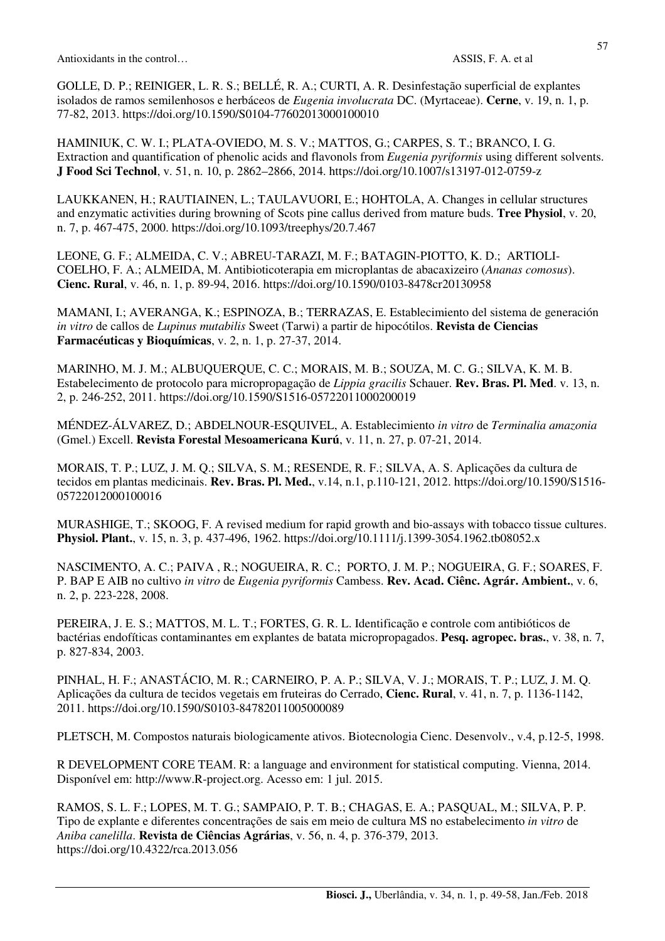GOLLE, D. P.; REINIGER, L. R. S.; BELLÉ, R. A.; CURTI, A. R. Desinfestação superficial de explantes isolados de ramos semilenhosos e herbáceos de *Eugenia involucrata* DC. (Myrtaceae). **Cerne**, v. 19, n. 1, p. 77-82, 2013. https://doi.org/10.1590/S0104-77602013000100010

HAMINIUK, C. W. I.; PLATA-OVIEDO, M. S. V.; MATTOS, G.; CARPES, S. T.; BRANCO, I. G. Extraction and quantification of phenolic acids and flavonols from *Eugenia pyriformis* using different solvents. **J Food Sci Technol**, v. 51, n. 10, p. 2862–2866, 2014. https://doi.org/10.1007/s13197-012-0759-z

LAUKKANEN, H.; RAUTIAINEN, L.; TAULAVUORI, E.; HOHTOLA, A. Changes in cellular structures and enzymatic activities during browning of Scots pine callus derived from mature buds. **Tree Physiol**, v. 20, n. 7, p. 467-475, 2000. https://doi.org/10.1093/treephys/20.7.467

LEONE, G. F.; ALMEIDA, C. V.; ABREU-TARAZI, M. F.; BATAGIN-PIOTTO, K. D.; ARTIOLI-COELHO, F. A.; ALMEIDA, M. Antibioticoterapia em microplantas de abacaxizeiro (*Ananas comosus*). **Cienc. Rural**, v. 46, n. 1, p. 89-94, 2016. https://doi.org/10.1590/0103-8478cr20130958

MAMANI, I.; AVERANGA, K.; ESPINOZA, B.; TERRAZAS, E. Establecimiento del sistema de generación *in vitro* de callos de *Lupinus mutabilis* Sweet (Tarwi) a partir de hipocótilos. **Revista de Ciencias Farmacéuticas y Bioquímicas**, v. 2, n. 1, p. 27-37, 2014.

MARINHO, M. J. M.; ALBUQUERQUE, C. C.; MORAIS, M. B.; SOUZA, M. C. G.; SILVA, K. M. B. Estabelecimento de protocolo para micropropagação de *Lippia gracilis* Schauer. **Rev. Bras. Pl. Med**. v. 13, n. 2, p. 246-252, 2011. https://doi.org/10.1590/S1516-05722011000200019

MÉNDEZ-ÁLVAREZ, D.; ABDELNOUR-ESQUIVEL, A. Establecimiento *in vitro* de *Terminalia amazonia*  (Gmel.) Excell. **Revista Forestal Mesoamericana Kurú**, v. 11, n. 27, p. 07-21, 2014.

MORAIS, T. P.; LUZ, J. M. Q.; SILVA, S. M.; RESENDE, R. F.; SILVA, A. S. Aplicações da cultura de tecidos em plantas medicinais. **Rev. Bras. Pl. Med.**, v.14, n.1, p.110-121, 2012. https://doi.org/10.1590/S1516- 05722012000100016

MURASHIGE, T.; SKOOG, F. A revised medium for rapid growth and bio-assays with tobacco tissue cultures. **Physiol. Plant.**, v. 15, n. 3, p. 437-496, 1962. https://doi.org/10.1111/j.1399-3054.1962.tb08052.x

NASCIMENTO, A. C.; PAIVA , R.; NOGUEIRA, R. C.; PORTO, J. M. P.; NOGUEIRA, G. F.; SOARES, F. P. BAP E AIB no cultivo *in vitro* de *Eugenia pyriformis* Cambess. **Rev. Acad. Ciênc. Agrár. Ambient.**, v. 6, n. 2, p. 223-228, 2008.

PEREIRA, J. E. S.; MATTOS, M. L. T.; FORTES, G. R. L. Identificação e controle com antibióticos de bactérias endofíticas contaminantes em explantes de batata micropropagados. **Pesq. agropec. bras.**, v. 38, n. 7, p. 827-834, 2003.

PINHAL, H. F.; ANASTÁCIO, M. R.; CARNEIRO, P. A. P.; SILVA, V. J.; MORAIS, T. P.; LUZ, J. M. Q. Aplicações da cultura de tecidos vegetais em fruteiras do Cerrado, **Cienc. Rural**, v. 41, n. 7, p. 1136-1142, 2011. https://doi.org/10.1590/S0103-84782011005000089

PLETSCH, M. Compostos naturais biologicamente ativos. Biotecnologia Cienc. Desenvolv., v.4, p.12-5, 1998.

R DEVELOPMENT CORE TEAM. R: a language and environment for statistical computing. Vienna, 2014. Disponível em: http://www.R-project.org. Acesso em: 1 jul. 2015.

RAMOS, S. L. F.; LOPES, M. T. G.; SAMPAIO, P. T. B.; CHAGAS, E. A.; PASQUAL, M.; SILVA, P. P. Tipo de explante e diferentes concentrações de sais em meio de cultura MS no estabelecimento *in vitro* de *Aniba canelilla*. **Revista de Ciências Agrárias**, v. 56, n. 4, p. 376-379, 2013. https://doi.org/10.4322/rca.2013.056